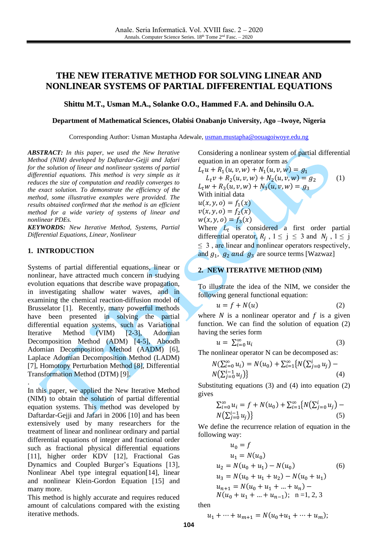# **THE NEW ITERATIVE METHOD FOR SOLVING LINEAR AND NONLINEAR SYSTEMS OF PARTIAL DIFFERENTIAL EQUATIONS**

### **Shittu M.T., Usman M.A., Solanke O.O., Hammed F.A. and Dehinsilu O.A.**

#### **Department of Mathematical Sciences, Olabisi Onabanjo University, Ago –Iwoye, Nigeria**

Corresponding Author: Usman Mustapha Adewale, [usman.mustapha@oouagoiwoye.edu.ng](mailto:usman.mustapha@oouagoiwoye.edu.ng)

*ABSTRACT: In this paper, we used the New Iterative Method (NIM) developed by Daftardar-Gejji and Jafari for the solution of linear and nonlinear systems of partial differential equations. This method is very simple as it reduces the size of computation and readily converges to the exact solution. To demonstrate the efficiency of the method, some illustrative examples were provided. The results obtained confirmed that the method is an efficient method for a wide variety of systems of linear and nonlinear PDEs.*

*KEYWORDS: New Iterative Method, Systems, Partial Differential Equations, Linear, Nonlinear*

#### **1. INTRODUCTION**

Systems of partial differential equations, linear or nonlinear, have attracted much concern in studying evolution equations that describe wave propagation, in investigating shallow water waves, and in examining the chemical reaction-diffusion model of Brusselator [1]. Recently, many powerful methods have been presented in solving the partial differential equation systems, such as Variational Iterative Method (VIM) [2-3], Adomian Decomposition Method (ADM) [4-5], Aboodh Adomian Decomposition Method (AADM) [6], Laplace Adomian Decomposition Method (LADM) [7], Homotopy Perturbation Method [8], Differential Transformation Method (DTM) [9].

. In this paper, we applied the New Iterative Method (NIM) to obtain the solution of partial differential equation systems. This method was developed by Daftardar-Gejji and Jafari in 2006 [10] and has been extensively used by many researchers for the treatment of linear and nonlinear ordinary and partial differential equations of integer and fractional order such as fractional physical differential equations [11], higher order KDV [12], Fractional Gas Dynamics and Coupled Burger's Equations [13], Nonlinear Abel type integral equation[14], linear and nonlinear Klein-Gordon Equation [15] and many more.

This method is highly accurate and requires reduced amount of calculations compared with the existing iterative methods.

Considering a nonlinear system of partial differential equation in an operator form as

 $L_t u + R_1(u, v, w) + N_1(u, v, w) = g_1$  $L_t v + R_2(u, v, w) + N_2(u, v, w) = g_2$  (1)  $L_t w + R_3(u, v, w) + N_3(u, v, w) = g_3$ With initial data  $u(x, y, o) = f_1(x)$  $v(x, y, o) = f_2(x)$  $w(x, y, o) = f_3(x)$ Where  $L_t$  is considered a first order partial differential operator,  $R_j$ ,  $1 \le j \le 3$  and  $N_j$ ,  $1 \le j$  $\leq$  3, are linear and nonlinear operators respectively,

and  $g_1$ ,  $g_2$  and  $g_3$  are source terms [Wazwaz]

# **2. NEW ITERATIVE METHOD (NIM)**

To illustrate the idea of the NIM, we consider the following general functional equation:

$$
u = f + N(u) \tag{2}
$$

where  $N$  is a nonlinear operator and  $f$  is a given function. We can find the solution of equation (2) having the series form

$$
u = \sum_{i=0}^{\infty} u_i \tag{3}
$$

The nonlinear operator N can be decomposed as:

$$
N(\sum_{i=0}^{\infty} u_i) = N(u_0) + \sum_{i=1}^{\infty} \{N(\sum_{j=0}^{i} u_j) - N(\sum_{j=0}^{i-1} u_j)\}\tag{4}
$$

Substituting equations (3) and (4) into equation (2) gives

$$
\sum_{i=0}^{\infty} u_i = f + N(u_0) + \sum_{i=1}^{\infty} \{ N(\sum_{j=0}^{i} u_j) - N(\sum_{j=0}^{i-1} u_j) \}
$$
\n(5)

We define the recurrence relation of equation in the following way:

$$
u_0 = f
$$
  
\n
$$
u_1 = N(u_0)
$$
  
\n
$$
u_2 = N(u_0 + u_1) - N(u_0)
$$
  
\n
$$
u_3 = N(u_0 + u_1 + u_2) - N(u_0 + u_1)
$$
  
\n
$$
u_{n+1} = N(u_0 + u_1 + ... + u_n) - N(u_0 + u_1 + ... + u_{n-1}); \quad n = 1, 2, 3
$$

then

$$
u_1 + \dots + u_{m+1} = N(u_0 + u_1 + \dots + u_m);
$$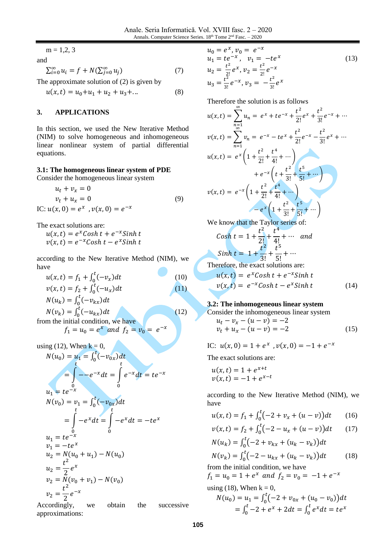$m = 1,2,3$ 

and

$$
\sum_{i=0}^{\infty} u_i = f + N(\sum_{j=0}^{\infty} u_j)
$$
 (7)

The approximate solution of (2) is given by

$$
u(x,t) = u_0 + u_1 + u_2 + u_3 + \dots \tag{8}
$$

## **3. APPLICATIONS**

In this section, we used the New Iterative Method (NIM) to solve homogeneous and inhomogeneous linear nonlinear system of partial differential equations.

**3.1: The homogeneous linear system of PDE**

Consider the homogeneous linear system

$$
u_t + v_x = 0
$$
  
\n
$$
v_t + u_x = 0
$$
  
\nIC:  $u(x, 0) = e^x$ ,  $v(x, 0) = e^{-x}$  (9)

The exact solutions are:

 $u(x,t) = e^x \text{Cosh } t + e^{-x} \text{Sinh } t$  $v(x,t) = e^{-x} \textit{Cosh } t - e^x \textit{Sinh } t$ 

according to the New Iterative Method (NIM), we have

$$
u(x,t) = f_1 + \int_0^t (-v_x)dt
$$
  
\n
$$
v(x,t) = f_2 + \int_0^t (-u_x)dt
$$
\n(10)

$$
N(u_k) = \int_0^t (-v_{kx})dt
$$
  
\n
$$
N(v_k) = \int_0^t (-u_{kx})dt
$$
\n(12)

from the initial condition, we have  $f_1 = u_0 = e^x$  and  $f_2 = v_0 = e^{-x}$ 

using (12), When  $k = 0$ ,

$$
N(u_0) = u_1 = \int_0^t (-v_{0x})dt
$$
  
\n
$$
= \int_0^t -e^{-x} dt = \int_0^t e^{-x} dt = te^{-x}
$$
  
\n
$$
N(v_0) = v_1 = \int_0^t (-v_{0x})dt
$$
  
\n
$$
= \int_0^t -e^{x} dt = \int_0^t e^{-x} dt = -te^{x}
$$
  
\n
$$
u_1 = te^{-x}
$$
  
\n
$$
v_1 = -te^{x}
$$
  
\n
$$
u_2 = N(u_0 + u_1) - N(u_0)
$$
  
\n
$$
u_2 = \frac{t^2}{2}e^{x}
$$
  
\n
$$
v_2 = N(v_0 + v_1) - N(v_0)
$$
  
\n
$$
v_2 = \frac{t^2}{2}e^{-x}
$$

Accordingly, we obtain the successive approximations:

$$
u_0 = e^x, v_0 = e^{-x}
$$
  
\n
$$
u_1 = te^{-x}, v_1 = -te^x
$$
  
\n
$$
u_2 = \frac{t^2}{2!}e^x, v_2 = \frac{t^2}{2!}e^{-x}
$$
  
\n
$$
u_3 = \frac{t^2}{3!}e^{-x}, v_3 = -\frac{t^2}{3!}e^x
$$
\n(13)

Therefore the solution is as follows

$$
u(x,t) = \sum_{n=1}^{\infty} u_n = e^x + te^{-x} + \frac{t^2}{2!}e^x + \frac{t^2}{3!}e^{-x} + \cdots
$$
  
\n
$$
v(x,t) = \sum_{n=1}^{\infty} v_n = e^{-x} - te^x + \frac{t^2}{2!}e^{-x} - \frac{t^2}{3!}e^x + \cdots
$$
  
\n
$$
u(x,t) = e^x \left(1 + \frac{t^2}{2!} + \frac{t^4}{4!} + \cdots\right)
$$
  
\n
$$
+ e^{-x} \left(t + \frac{t^2}{3!} + \frac{t^5}{5!} + \cdots\right)
$$
  
\n
$$
v(x,t) = e^{-x} \left(1 + \frac{t^2}{2!} + \frac{t^4}{4!} + \cdots\right)
$$
  
\n
$$
-e^x \left(1 + \frac{t^2}{3!} + \frac{t^5}{5!} + \cdots\right)
$$
  
\nWe know that the Taylor series of:

e know that the Taylor series of:  
\n
$$
Cosh t = 1 + \frac{t^2}{2!} + \frac{t^4}{4!} + \cdots
$$
 and  
\n
$$
Sinh t = 1 + \frac{t^2}{3!} + \frac{t^5}{5!} + \cdots
$$

Therefore, the exact solutions are:

$$
u(x,t) = exCosh t + e-xSinh t
$$
  

$$
v(x,t) = e-xCosh t - exSinh t
$$
 (14)

### **3.2: The inhomogeneous linear system**

Consider the inhomogeneous linear system

$$
u_t - v_x - (u - v) = -2 \n v_t + u_x - (u - v) = -2
$$
\n(15)

IC:  $u(x, 0) = 1 + e^x$ ,  $v(x, 0) = -1 + e^{-x}$ 

The exact solutions are:

$$
u(x,t) = 1 + e^{x+t}
$$
  

$$
v(x,t) = -1 + e^{x-t}
$$

according to the New Iterative Method (NIM), we have

$$
u(x,t) = f_1 + \int_0^t (-2 + v_x + (u - v)) dt \qquad (16)
$$

$$
v(x,t) = f_2 + \int_0^t (-2 - u_x + (u - v)) dt \qquad (17)
$$
  

$$
N(u_k) = \int_0^t (-2 + v_{kx} + (u_k - v_k)) dt
$$

$$
N(v_k) = \int_0^t (-2 - u_{kx} + (u_k - v_k)) dt
$$
 (18)

from the initial condition, we have  $f_1 = u_0 = 1 + e^x$  and  $f_2 = v_0 = -1 + e^{-x}$ using (18), When  $k = 0$ ,

$$
N(u_0) = u_1 = \int_0^t (-2 + v_{0x} + (u_0 - v_0)) dt
$$
  
=  $\int_0^t -2 + e^x + 2 dt = \int_0^t e^x dt = te^x$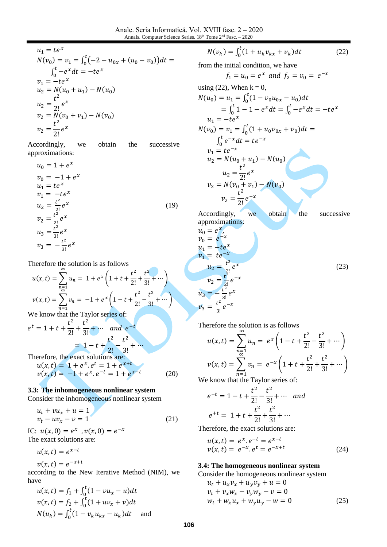$$
u_1 = te^x
$$
  
\n
$$
N(v_0) = v_1 = \int_0^t (-2 - u_{0x} + (u_0 - v_0)) dt =
$$
  
\n
$$
\int_0^t -e^x dt = -te^x
$$
  
\n
$$
v_1 = -te^x
$$
  
\n
$$
u_2 = N(u_0 + u_1) - N(u_0)
$$
  
\n
$$
u_2 = \frac{t^2}{2!}e^x
$$
  
\n
$$
v_2 = N(v_0 + v_1) - N(v_0)
$$
  
\n
$$
v_2 = \frac{t^2}{2!}e^x
$$

Accordingly, we obtain the successive approximations:

$$
u_0 = 1 + e^x
$$
  
\n
$$
v_0 = -1 + e^x
$$
  
\n
$$
u_1 = te^x
$$
  
\n
$$
v_1 = -te^x
$$
  
\n
$$
u_2 = \frac{t^2}{2!}e^x
$$
  
\n
$$
v_2 = \frac{t^2}{2!}e^x
$$
  
\n
$$
u_3 = \frac{t^2}{3!}e^x
$$
  
\n
$$
v_3 = -\frac{t^2}{3!}e^x
$$
  
\n(19)

Therefore the solution is as follows

$$
u(x,t) = \sum_{\substack{n=1 \ n \text{odd}}}^{\infty} u_n = 1 + e^x \left( 1 + t + \frac{t^2}{2!} + \frac{t^2}{3!} + \cdots \right)
$$
  

$$
v(x,t) = \sum_{n=1}^{\infty} v_n = -1 + e^x \left( 1 - t + \frac{t^2}{2!} - \frac{t^2}{3!} + \cdots \right)
$$

We know that the Taylor series of:

$$
e^{t} = 1 + t + \frac{t^{2}}{2!} + \frac{t^{2}}{3!} + \cdots \quad and \quad e^{-t}
$$
  
= 1 - t +  $\frac{t^{2}}{2!} - \frac{t^{2}}{3!} + \cdots$   
Therefore, the exact solutions are:

$$
u(x,t) = 1 + e^x \cdot e^t = 1 + e^{x+t}
$$
  
\n
$$
v(x,t) = -1 + e^x \cdot e^{-t} = 1 + e^{x-t}
$$
 (20)

### **3.3: The inhomogeneous nonlinear system**

Consider the inhomogeneous nonlinear system

$$
u_t + vu_x + u = 1
$$
  

$$
v_t - uv_x - v = 1
$$
 (21)

IC:  $u(x, 0) = e^x$ ,  $v(x, 0) = e^{-x}$ The exact solutions are:

$$
u(x,t)=e^{x-t}
$$

 $v(x,t) = e^{-x+t}$ 

according to the New Iterative Method (NIM), we have

$$
u(x, t) = f_1 + \int_0^t (1 - vu_x - u) dt
$$
  

$$
v(x, t) = f_2 + \int_0^t (1 + uv_x + v) dt
$$
  

$$
N(u_k) = \int_0^t (1 - v_k u_{kx} - u_k) dt
$$
 and

$$
N(v_k) = \int_0^t (1 + u_k v_{kx} + v_k) dt
$$
 (22)

from the initial condition, we have

$$
f_1 = u_0 = e^x \text{ and } f_2 = v_0 = e^{-x}
$$
  
using (22), When k = 0,  

$$
N(u_0) = u_1 = \int_0^t (1 - v_0 u_{0x} - u_0) dt
$$

$$
= \int_0^t 1 - 1 - e^x dt = \int_0^t -e^x dt = -te^x
$$

$$
u_1 = -te^x
$$

$$
N(v_0) = v_1 = \int_0^t (1 + u_0 v_{0x} + v_0) dt =
$$

$$
\int_0^t e^{-x} dt = te^{-x}
$$

$$
v_1 = te^{-x}
$$

$$
u_2 = N(u_0 + u_1) - N(u_0)
$$

$$
u_2 = \frac{t^2}{2!}e^x
$$

$$
v_2 = N(v_0 + v_1) - N(v_0)
$$

$$
v_2 = \frac{t^2}{2!}e^{-x}
$$
Accordingly, we obtain the successive approximations:

$$
u_0 = e^x,
$$
  
\n
$$
v_0 = e^{-x},
$$
  
\n
$$
v_1 = te^{-x}
$$
  
\n
$$
u_2 = \frac{t^2}{2!}e^x
$$
  
\n
$$
u_3 = -\frac{t^2}{3!}e^x
$$
  
\n
$$
v_3 = \frac{t^2}{3!}e^{-x}
$$
  
\n(23)

Therefore the solution is as follows ∞

$$
u(x,t) = \sum_{n=1}^{\infty} u_n = e^x \left( 1 - t + \frac{t^2}{2!} - \frac{t^2}{3!} + \cdots \right)
$$
  

$$
v(x,t) = \sum_{n=1}^{\infty} v_n = e^{-x} \left( 1 + t + \frac{t^2}{2!} + \frac{t^2}{3!} + \cdots \right)
$$

 $n=1$ <br>We know that the Taylor series of:

$$
e^{-t} = 1 - t + \frac{t^2}{2!} - \frac{t^2}{3!} + \cdots \quad \text{and}
$$
\n
$$
e^{+t} = 1 + t + \frac{t^2}{2!} + \frac{t^2}{3!} + \cdots
$$

Therefore, the exact solutions are:

$$
u(x,t) = e^x \cdot e^{-t} = e^{x-t} v(x,t) = e^{-x} \cdot e^t = e^{-x+t}
$$
 (24)

## **3.4: The homogeneous nonlinear system**

Consider the homogeneous nonlinear system  
\n
$$
u_t + u_x v_x + u_y v_y + u = 0
$$
\n
$$
v_t + v_x w_x - v_y w_y - v = 0
$$
\n
$$
w_t + w_x u_x + w_y u_y - w = 0
$$
\n(25)

**106**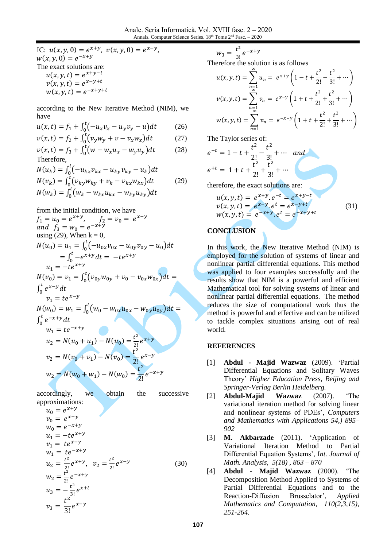IC:  $u(x, y, 0) = e^{x+y}$ ,  $v(x, y, 0) = e^{x-y}$ ,  $w(x, y, 0) = e^{-x+y}$ The exact solutions are:  $u(x, y, t) = e^{x+y-t}$  $v(x, y, t) = e^{x-y+t}$  $w(x, y, t) = e^{-x+y+t}$ 

according to the New Iterative Method (NIM), we have

$$
u(x,t) = f_1 + \int_0^t (-u_x v_x - u_y v_y - u) dt
$$
 (26)

$$
v(x,t) = f_2 + \int_0^t (v_y w_y + v - v_x w_x) dt
$$
 (27)

$$
v(x,t) = f_3 + \int_0^t \left( w - w_x u_x - w_y u_y \right) dt \tag{28}
$$
  
Therefore,

$$
N(u_k) = \int_0^t (-u_{kx}v_{kx} - u_{ky}v_{ky} - u_k)dt
$$
  
\n
$$
N(v_k) = \int_0^t (v_{ky}w_{ky} + v_k - v_{kx}w_{kx})dt
$$
  
\n
$$
N(w_k) = \int_0^t (w_k - w_{kx}u_{kx} - w_{ky}u_{ky})dt
$$
\n(29)

from the initial condition, we have  
\n
$$
f_1 = u_0 = e^{x+y}
$$
,  $f_2 = v_0 = e^{x-y}$   
\nand  $f_3 = w_0 = e^{-x+y}$   
\nusing (29), When k = 0,  
\n $N(u_0) = u_1 = \int_0^t (-u_{0x}v_{0x} - u_{0y}v_{0y} - u_0)dt$   
\n $= \int_0^t -e^{x+y}dt = -te^{x+y}$   
\n $u_1 = -te^{x+y}$   
\n $N(v_0) = v_1 = \int_0^t (v_{0y}w_{0y} + v_0 - v_{0x}w_{0x})dt =$   
\n $\int_0^t e^{x-y}dt$   
\n $v_1 = te^{x-y}$   
\n $N(w_0) = w_1 = \int_0^t (w_0 - w_{0x}u_{0x} - w_{0y}u_{0y})dt =$   
\n $\int_0^t e^{-x+y}dt$   
\n $w_1 = te^{-x+y}$   
\n $u_2 = N(u_0 + u_1) - N(u_0) = \frac{t^2}{2!}e^{x+y}$   
\n $v_2 = N(v_0 + v_1) - N(v_0) = \frac{t^2}{2!}e^{x-y}$   
\n $w_2 = N(w_0 + w_1) - N(w_0) = \frac{t^2}{2!}e^{-x+y}$ 

accordingly, we obtain the successive approximations:

$$
u_0 = e^{x+y}
$$
  
\n
$$
v_0 = e^{x-y}
$$
  
\n
$$
w_0 = e^{-x+y}
$$
  
\n
$$
u_1 = -te^{x+y}
$$
  
\n
$$
v_1 = te^{x-y}
$$
  
\n
$$
w_1 = te^{-x+y}
$$
  
\n
$$
u_2 = \frac{t^2}{2!}e^{x+y}, v_2 = \frac{t^2}{2!}e^{x-y}
$$
  
\n
$$
w_2 = \frac{t^2}{2!}e^{-x+y}
$$
  
\n
$$
u_3 = -\frac{t^2}{3!}e^{x+t}
$$
  
\n
$$
v_3 = \frac{t^2}{3!}e^{x-y}
$$
  
\n(30)

 $w_3 = \frac{t^2}{3!}$  $\frac{a^{2}}{3!}e^{-x+y}$ 

Therefore the solution is as follows

$$
u(x, y, t) = \sum_{\substack{n=1 \ \infty}}^{\infty} u_n = e^{x+y} \left( 1 - t + \frac{t^2}{2!} - \frac{t^2}{3!} + \cdots \right)
$$
  

$$
v(x, y, t) = \sum_{\substack{n=1 \ \infty}}^{\infty} v_n = e^{x-y} \left( 1 + t + \frac{t^2}{2!} + \frac{t^2}{3!} + \cdots \right)
$$
  

$$
w(x, y, t) = \sum_{n=1}^{\infty} v_n = e^{-x+y} \left( 1 + t + \frac{t^2}{2!} + \frac{t^2}{3!} + \cdots \right)
$$

The Taylor series of:

$$
e^{-t} = 1 - t + \frac{t^2}{2!} - \frac{t^2}{3!} + \cdots
$$
 and  

$$
e^{+t} = 1 + t + \frac{t^2}{2!} + \frac{t^2}{3!} + \cdots
$$

therefore, the exact solutions are:

$$
u(x, y, t) = e^{x+y}.e^{-t} = e^{x+y-t}
$$
  
\n
$$
v(x, y, t) = e^{x-y}.e^{t} = e^{x-y+t}
$$
  
\n
$$
w(x, y, t) = e^{-x+y}.e^{t} = e^{-x+y+t}
$$
\n(31)

# **CONCLUSION**

In this work, the New Iterative Method (NIM) is employed for the solution of systems of linear and nonlinear partial differential equations. This method was applied to four examples successfully and the results show that NIM is a powerful and efficient Mathematical tool for solving systems of linear and nonlinear partial differential equations. The method reduces the size of computational work thus the method is powerful and effective and can be utilized to tackle complex situations arising out of real world.

### **REFERENCES**

- [1] **Abdul - Majid Wazwaz** (2009). 'Partial Differential Equations and Solitary Waves Theory' *Higher Education Press, Beijing and Springer-Verlag Berlin Heidelberg.*
- [2] **Abdul-Majid Wazwaz** (2007). 'The variational iteration method for solving linear and nonlinear systems of PDEs', *Computers and Mathematics with Applications 54,) 895– 902*
- [3] **M. Akbarzade** (2011). 'Application of Variational Iteration Method to Partial Differential Equation Systems', I*nt. Journal of Math. Analysis, 5(18) , 863 – 870*
- [4] **Abdul - Majid Wazwaz** (2000). 'The Decomposition Method Applied to Systems of Partial Differential Equations and to the Reaction-Diffusion Brusselator', *Applied Mathematics and Computation, 110(2,3,15), 251-264*.